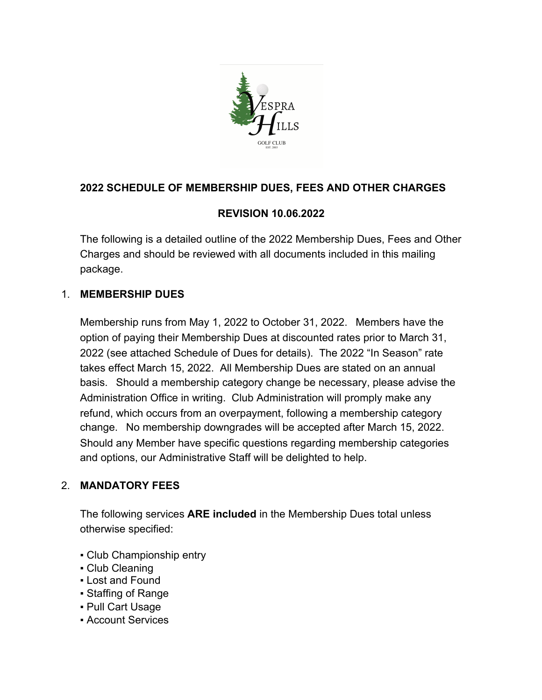

## **2022 SCHEDULE OF MEMBERSHIP DUES, FEES AND OTHER CHARGES**

## **REVISION 10.06.2022**

The following is a detailed outline of the 2022 Membership Dues, Fees and Other Charges and should be reviewed with all documents included in this mailing package.

### 1. **MEMBERSHIP DUES**

Membership runs from May 1, 2022 to October 31, 2022. Members have the option of paying their Membership Dues at discounted rates prior to March 31, 2022 (see attached Schedule of Dues for details). The 2022 "In Season" rate takes effect March 15, 2022. All Membership Dues are stated on an annual basis. Should a membership category change be necessary, please advise the Administration Office in writing. Club Administration will promply make any refund, which occurs from an overpayment, following a membership category change. No membership downgrades will be accepted after March 15, 2022. Should any Member have specific questions regarding membership categories and options, our Administrative Staff will be delighted to help.

## 2. **MANDATORY FEES**

The following services **ARE included** in the Membership Dues total unless otherwise specified:

- Club Championship entry
- Club Cleaning
- Lost and Found
- Staffing of Range
- Pull Cart Usage
- Account Services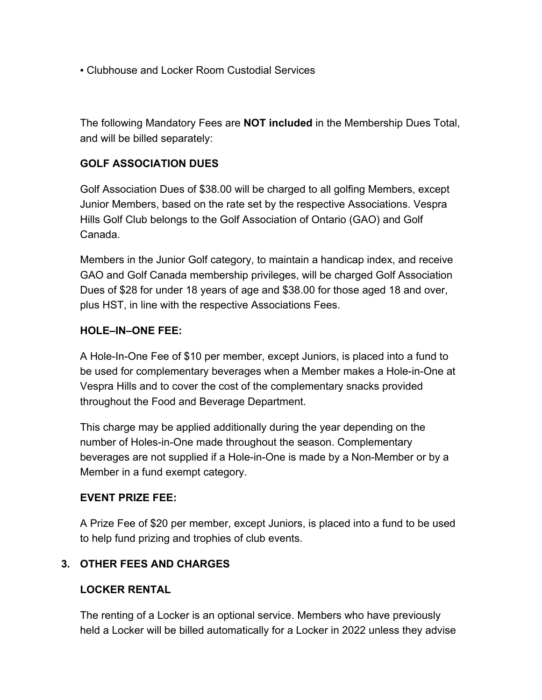▪ Clubhouse and Locker Room Custodial Services

The following Mandatory Fees are **NOT included** in the Membership Dues Total, and will be billed separately:

### **GOLF ASSOCIATION DUES**

Golf Association Dues of \$38.00 will be charged to all golfing Members, except Junior Members, based on the rate set by the respective Associations. Vespra Hills Golf Club belongs to the Golf Association of Ontario (GAO) and Golf Canada.

Members in the Junior Golf category, to maintain a handicap index, and receive GAO and Golf Canada membership privileges, will be charged Golf Association Dues of \$28 for under 18 years of age and \$38.00 for those aged 18 and over, plus HST, in line with the respective Associations Fees.

### **HOLE–IN–ONE FEE:**

A Hole-In-One Fee of \$10 per member, except Juniors, is placed into a fund to be used for complementary beverages when a Member makes a Hole-in-One at Vespra Hills and to cover the cost of the complementary snacks provided throughout the Food and Beverage Department.

This charge may be applied additionally during the year depending on the number of Holes-in-One made throughout the season. Complementary beverages are not supplied if a Hole-in-One is made by a Non-Member or by a Member in a fund exempt category.

### **EVENT PRIZE FEE:**

A Prize Fee of \$20 per member, except Juniors, is placed into a fund to be used to help fund prizing and trophies of club events.

### **3. OTHER FEES AND CHARGES**

### **LOCKER RENTAL**

The renting of a Locker is an optional service. Members who have previously held a Locker will be billed automatically for a Locker in 2022 unless they advise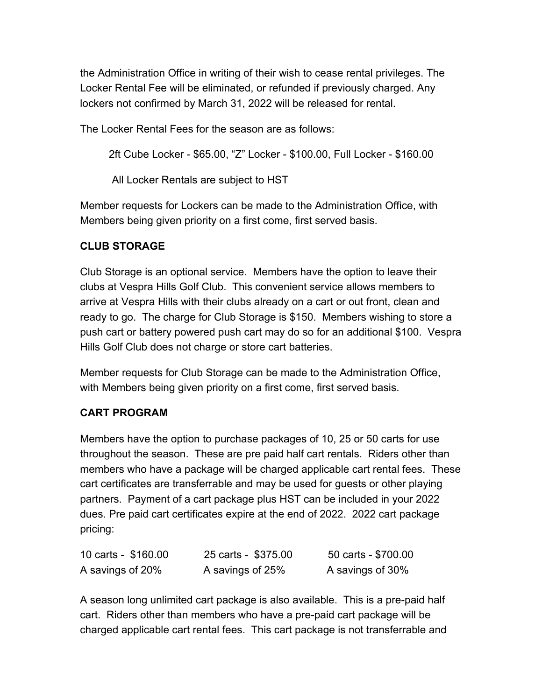the Administration Office in writing of their wish to cease rental privileges. The Locker Rental Fee will be eliminated, or refunded if previously charged. Any lockers not confirmed by March 31, 2022 will be released for rental.

The Locker Rental Fees for the season are as follows:

2ft Cube Locker - \$65.00, "Z" Locker - \$100.00, Full Locker - \$160.00

All Locker Rentals are subject to HST

Member requests for Lockers can be made to the Administration Office, with Members being given priority on a first come, first served basis.

### **CLUB STORAGE**

Club Storage is an optional service. Members have the option to leave their clubs at Vespra Hills Golf Club. This convenient service allows members to arrive at Vespra Hills with their clubs already on a cart or out front, clean and ready to go. The charge for Club Storage is \$150. Members wishing to store a push cart or battery powered push cart may do so for an additional \$100. Vespra Hills Golf Club does not charge or store cart batteries.

Member requests for Club Storage can be made to the Administration Office, with Members being given priority on a first come, first served basis.

### **CART PROGRAM**

Members have the option to purchase packages of 10, 25 or 50 carts for use throughout the season. These are pre paid half cart rentals. Riders other than members who have a package will be charged applicable cart rental fees. These cart certificates are transferrable and may be used for guests or other playing partners. Payment of a cart package plus HST can be included in your 2022 dues. Pre paid cart certificates expire at the end of 2022. 2022 cart package pricing:

| 10 carts - \$160.00 | 25 carts - \$375.00 | 50 carts - \$700.00 |
|---------------------|---------------------|---------------------|
| A savings of 20%    | A savings of 25%    | A savings of 30%    |

A season long unlimited cart package is also available. This is a pre-paid half cart. Riders other than members who have a pre-paid cart package will be charged applicable cart rental fees. This cart package is not transferrable and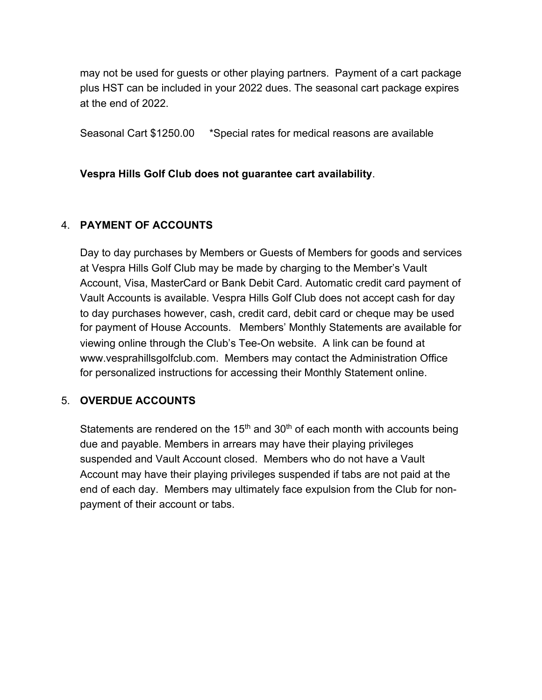may not be used for guests or other playing partners. Payment of a cart package plus HST can be included in your 2022 dues. The seasonal cart package expires at the end of 2022.

Seasonal Cart \$1250.00 \*Special rates for medical reasons are available

**Vespra Hills Golf Club does not guarantee cart availability**.

### 4. **PAYMENT OF ACCOUNTS**

Day to day purchases by Members or Guests of Members for goods and services at Vespra Hills Golf Club may be made by charging to the Member's Vault Account, Visa, MasterCard or Bank Debit Card. Automatic credit card payment of Vault Accounts is available. Vespra Hills Golf Club does not accept cash for day to day purchases however, cash, credit card, debit card or cheque may be used for payment of House Accounts. Members' Monthly Statements are available for viewing online through the Club's Tee-On website. A link can be found at www.vesprahillsgolfclub.com. Members may contact the Administration Office for personalized instructions for accessing their Monthly Statement online.

### 5. **OVERDUE ACCOUNTS**

Statements are rendered on the 15<sup>th</sup> and 30<sup>th</sup> of each month with accounts being due and payable. Members in arrears may have their playing privileges suspended and Vault Account closed. Members who do not have a Vault Account may have their playing privileges suspended if tabs are not paid at the end of each day. Members may ultimately face expulsion from the Club for nonpayment of their account or tabs.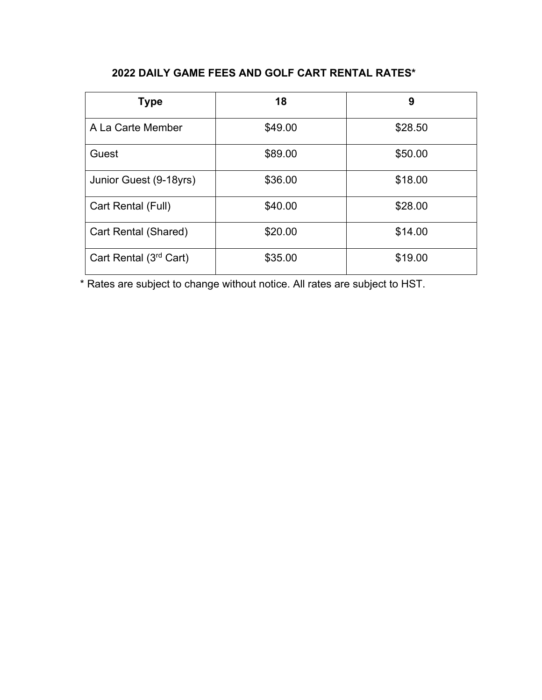# **2022 DAILY GAME FEES AND GOLF CART RENTAL RATES\***

| <b>Type</b>            | 18      | 9       |
|------------------------|---------|---------|
| A La Carte Member      | \$49.00 | \$28.50 |
| Guest                  | \$89.00 | \$50.00 |
| Junior Guest (9-18yrs) | \$36.00 | \$18.00 |
| Cart Rental (Full)     | \$40.00 | \$28.00 |
| Cart Rental (Shared)   | \$20.00 | \$14.00 |
| Cart Rental (3rd Cart) | \$35.00 | \$19.00 |

\* Rates are subject to change without notice. All rates are subject to HST.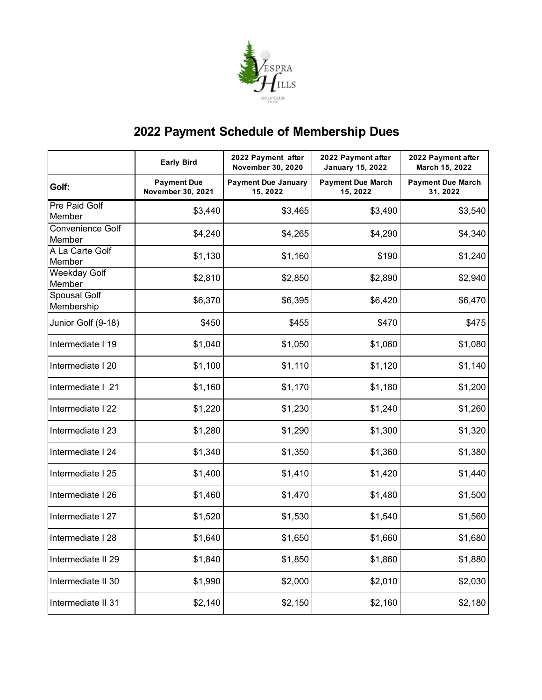

# **2022 Payment Schedule of Membership Dues**

|                                   | <b>Early Bird</b>                       | 2022 Payment after<br><b>November 30, 2020</b> | 2022 Payment after<br><b>January 15, 2022</b> | 2022 Payment after<br>March 15, 2022 |
|-----------------------------------|-----------------------------------------|------------------------------------------------|-----------------------------------------------|--------------------------------------|
| Golf:                             | <b>Payment Due</b><br>November 30, 2021 | <b>Payment Due January</b><br>15, 2022         | <b>Payment Due March</b><br>15, 2022          | <b>Payment Due March</b><br>31, 2022 |
| Pre Paid Golf                     | \$3,440                                 | \$3,465                                        | \$3,490                                       | \$3,540                              |
| Member                            |                                         |                                                |                                               |                                      |
| Convenience Golf<br>Member        | \$4,240                                 | \$4,265                                        | \$4,290                                       | \$4,340                              |
| A La Carte Golf<br>Member         | \$1,130                                 | \$1,160                                        | \$190                                         | \$1,240                              |
| <b>Weekday Golf</b><br>Member     | \$2,810                                 | \$2,850                                        | \$2,890                                       | \$2,940                              |
| <b>Spousal Golf</b><br>Membership | \$6,370                                 | \$6,395                                        | \$6,420                                       | \$6,470                              |
| Junior Golf (9-18)                | \$450                                   | \$455                                          | \$470                                         | \$475                                |
| Intermediate I 19                 | \$1,040                                 | \$1,050                                        | \$1,060                                       | \$1,080                              |
| Intermediate I 20                 | \$1,100                                 | \$1,110                                        | \$1,120                                       | \$1,140                              |
| Intermediate   21                 | \$1,160                                 | \$1,170                                        | \$1,180                                       | \$1,200                              |
| Intermediate I 22                 | \$1,220                                 | \$1,230                                        | \$1,240                                       | \$1,260                              |
| Intermediate I 23                 | \$1,280                                 | \$1,290                                        | \$1,300                                       | \$1,320                              |
| Intermediate I 24                 | \$1,340                                 | \$1,350                                        | \$1,360                                       | \$1,380                              |
| Intermediate I 25                 | \$1,400                                 | \$1,410                                        | \$1,420                                       | \$1,440                              |
| Intermediate I 26                 | \$1,460                                 | \$1,470                                        | \$1,480                                       | \$1,500                              |
| Intermediate I 27                 | \$1,520                                 | \$1,530                                        | \$1,540                                       | \$1,560                              |
| Intermediate I 28                 | \$1,640                                 | \$1,650                                        | \$1,660                                       | \$1,680                              |
| Intermediate II 29                | \$1,840                                 | \$1,850                                        | \$1,860                                       | \$1,880                              |
| Intermediate II 30                | \$1,990                                 | \$2,000                                        | \$2,010                                       | \$2,030                              |
| Intermediate II 31                | \$2,140                                 | \$2,150                                        | \$2,160                                       | \$2,180                              |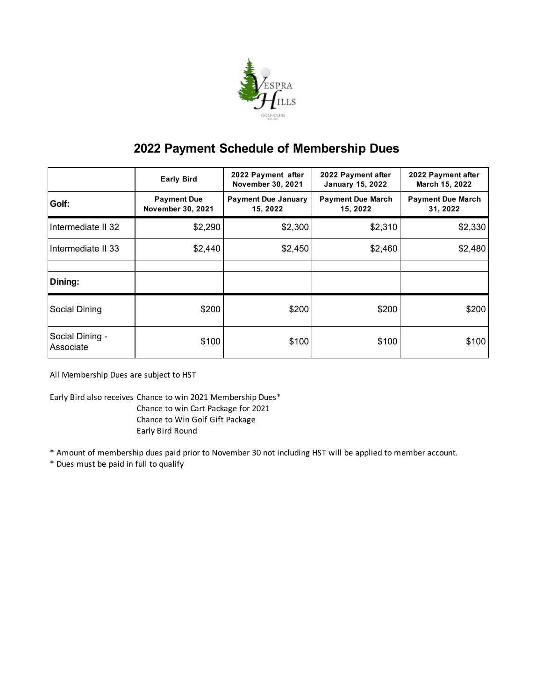

# **2022 Payment Schedule of Membership Dues**

|                              | <b>Early Bird</b>                              | 2022 Payment after<br><b>November 30, 2021</b> | 2022 Payment after<br><b>January 15, 2022</b> | 2022 Payment after<br><b>March 15, 2022</b> |
|------------------------------|------------------------------------------------|------------------------------------------------|-----------------------------------------------|---------------------------------------------|
| Golf:                        | <b>Payment Due</b><br><b>November 30, 2021</b> | <b>Payment Due January</b><br>15, 2022         | <b>Payment Due March</b><br>15, 2022          | <b>Payment Due March</b><br>31, 2022        |
| Intermediate II 32           | \$2,290                                        | \$2,300                                        | \$2,310                                       | \$2,330                                     |
| Intermediate II 33           | \$2,440                                        | \$2,450                                        | \$2,460                                       | \$2,480                                     |
|                              |                                                |                                                |                                               |                                             |
| Dining:                      |                                                |                                                |                                               |                                             |
| Social Dining                | \$200                                          | \$200                                          | \$200                                         | \$200                                       |
| Social Dining -<br>Associate | \$100                                          | \$100                                          | \$100                                         | \$100                                       |

All Membership Dues are subject to HST

Early Bird also receives:Chance to win 2021 Membership Dues\* Chance to win Cart Package for 2021 Chance to Win Golf Gift Package Early Bird Round

\* Amount of membership dues paid prior to November 30 not including HST will be applied to member account.

\* Dues must be paid in full to qualify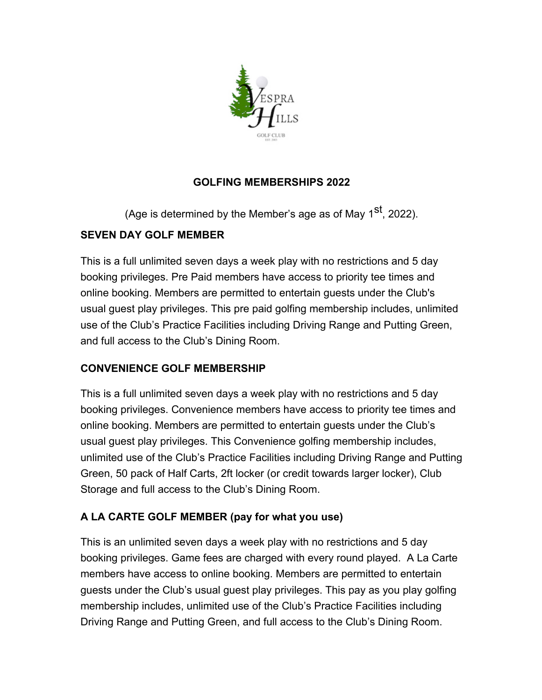

# **GOLFING MEMBERSHIPS 2022**

(Age is determined by the Member's age as of May 1<sup>st</sup>, 2022).

## **SEVEN DAY GOLF MEMBER**

This is a full unlimited seven days a week play with no restrictions and 5 day booking privileges. Pre Paid members have access to priority tee times and online booking. Members are permitted to entertain guests under the Club's usual guest play privileges. This pre paid golfing membership includes, unlimited use of the Club's Practice Facilities including Driving Range and Putting Green, and full access to the Club's Dining Room.

## **CONVENIENCE GOLF MEMBERSHIP**

This is a full unlimited seven days a week play with no restrictions and 5 day booking privileges. Convenience members have access to priority tee times and online booking. Members are permitted to entertain guests under the Club's usual guest play privileges. This Convenience golfing membership includes, unlimited use of the Club's Practice Facilities including Driving Range and Putting Green, 50 pack of Half Carts, 2ft locker (or credit towards larger locker), Club Storage and full access to the Club's Dining Room.

# **A LA CARTE GOLF MEMBER (pay for what you use)**

This is an unlimited seven days a week play with no restrictions and 5 day booking privileges. Game fees are charged with every round played. A La Carte members have access to online booking. Members are permitted to entertain guests under the Club's usual guest play privileges. This pay as you play golfing membership includes, unlimited use of the Club's Practice Facilities including Driving Range and Putting Green, and full access to the Club's Dining Room.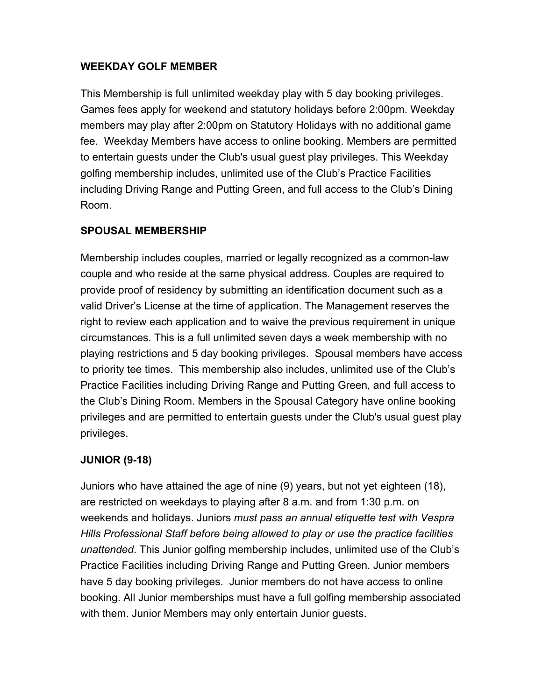### **WEEKDAY GOLF MEMBER**

This Membership is full unlimited weekday play with 5 day booking privileges. Games fees apply for weekend and statutory holidays before 2:00pm. Weekday members may play after 2:00pm on Statutory Holidays with no additional game fee. Weekday Members have access to online booking. Members are permitted to entertain guests under the Club's usual guest play privileges. This Weekday golfing membership includes, unlimited use of the Club's Practice Facilities including Driving Range and Putting Green, and full access to the Club's Dining Room.

### **SPOUSAL MEMBERSHIP**

Membership includes couples, married or legally recognized as a common-law couple and who reside at the same physical address. Couples are required to provide proof of residency by submitting an identification document such as a valid Driver's License at the time of application. The Management reserves the right to review each application and to waive the previous requirement in unique circumstances. This is a full unlimited seven days a week membership with no playing restrictions and 5 day booking privileges. Spousal members have access to priority tee times. This membership also includes, unlimited use of the Club's Practice Facilities including Driving Range and Putting Green, and full access to the Club's Dining Room. Members in the Spousal Category have online booking privileges and are permitted to entertain guests under the Club's usual guest play privileges.

## **JUNIOR (9-18)**

Juniors who have attained the age of nine (9) years, but not yet eighteen (18), are restricted on weekdays to playing after 8 a.m. and from 1:30 p.m. on weekends and holidays. Juniors *must pass an annual etiquette test with Vespra Hills Professional Staff before being allowed to play or use the practice facilities unattended*. This Junior golfing membership includes, unlimited use of the Club's Practice Facilities including Driving Range and Putting Green. Junior members have 5 day booking privileges. Junior members do not have access to online booking. All Junior memberships must have a full golfing membership associated with them. Junior Members may only entertain Junior guests.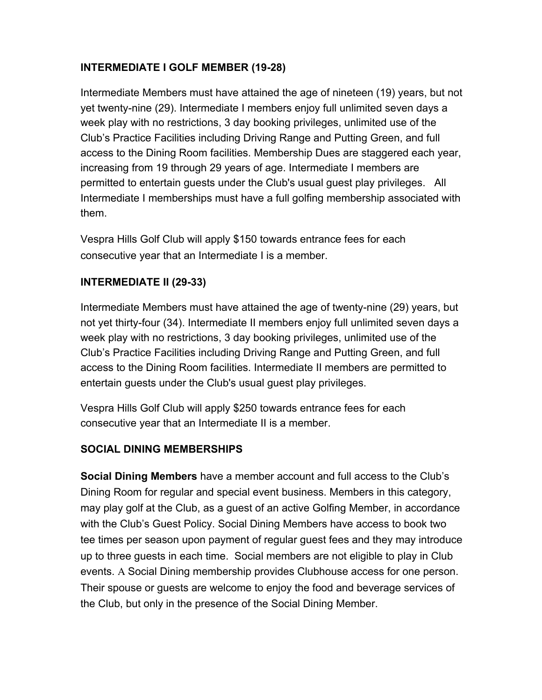# **INTERMEDIATE I GOLF MEMBER (19-28)**

Intermediate Members must have attained the age of nineteen (19) years, but not yet twenty-nine (29). Intermediate I members enjoy full unlimited seven days a week play with no restrictions, 3 day booking privileges, unlimited use of the Club's Practice Facilities including Driving Range and Putting Green, and full access to the Dining Room facilities. Membership Dues are staggered each year, increasing from 19 through 29 years of age. Intermediate I members are permitted to entertain guests under the Club's usual guest play privileges. All Intermediate I memberships must have a full golfing membership associated with them.

Vespra Hills Golf Club will apply \$150 towards entrance fees for each consecutive year that an Intermediate I is a member.

## **INTERMEDIATE II (29-33)**

Intermediate Members must have attained the age of twenty-nine (29) years, but not yet thirty-four (34). Intermediate II members enjoy full unlimited seven days a week play with no restrictions, 3 day booking privileges, unlimited use of the Club's Practice Facilities including Driving Range and Putting Green, and full access to the Dining Room facilities. Intermediate II members are permitted to entertain guests under the Club's usual guest play privileges.

Vespra Hills Golf Club will apply \$250 towards entrance fees for each consecutive year that an Intermediate II is a member.

## **SOCIAL DINING MEMBERSHIPS**

**Social Dining Members** have a member account and full access to the Club's Dining Room for regular and special event business. Members in this category, may play golf at the Club, as a guest of an active Golfing Member, in accordance with the Club's Guest Policy. Social Dining Members have access to book two tee times per season upon payment of regular guest fees and they may introduce up to three guests in each time. Social members are not eligible to play in Club events. A Social Dining membership provides Clubhouse access for one person. Their spouse or guests are welcome to enjoy the food and beverage services of the Club, but only in the presence of the Social Dining Member.